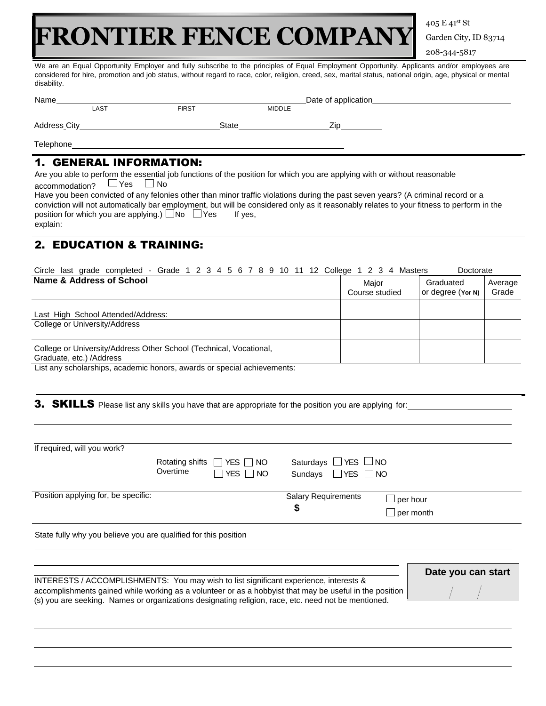## **FRONTIER FENCE COMPANY**

405 E 41st St Garden City, ID 83714 208-344-5817

We are an Equal Opportunity Employer and fully subscribe to the principles of Equal Employment Opportunity. Applicants and/or employees are considered for hire, promotion and job status, without regard to race, color, religion, creed, sex, marital status, national origin, age, physical or mental disability.

| Name         |      |              |               | Date of application |  |
|--------------|------|--------------|---------------|---------------------|--|
|              | LAST | <b>FIRST</b> | <b>MIDDLE</b> |                     |  |
| Address City |      | <b>State</b> |               | Zio                 |  |
| Telephone    |      |              |               |                     |  |

## 1. GENERAL INFORMATION:

Are you able to perform the essential job functions of the position for which you are applying with or without reasonable<br>accommodation?  $\Box$  Yes  $\Box$  No accommodation?

Have you been convicted of any felonies other than minor traffic violations during the past seven years? (A criminal record or a conviction will not automatically bar employment, but will be considered only as it reasonably relates to your fitness to perform in the position for which you are applying.)  $\Box$  No  $\Box$  Yes If yes, explain:

## 2. EDUCATION & TRAINING:

| Circle last grade completed - Grade 1 2 3 4 5 6 7 8 9 10 11 12 College 1 2 3 4 Masters          |                         | Doctorate                      |                  |
|-------------------------------------------------------------------------------------------------|-------------------------|--------------------------------|------------------|
| Name & Address of School                                                                        | Major<br>Course studied | Graduated<br>or degree (Yor N) | Average<br>Grade |
| Last High School Attended/Address:<br>College or University/Address                             |                         |                                |                  |
| College or University/Address Other School (Technical, Vocational,<br>Graduate, etc.) / Address |                         |                                |                  |

List any scholarships, academic honors, awards or special achievements:

3. SKILLS Please list any skills you have that are appropriate for the position you are applying for:

| If required, will you work?                                     |                                                                                                                                                                                                                |                                  |                              |  |
|-----------------------------------------------------------------|----------------------------------------------------------------------------------------------------------------------------------------------------------------------------------------------------------------|----------------------------------|------------------------------|--|
|                                                                 | Rotating shifts $\Box$<br>YES I INO                                                                                                                                                                            | Saturdays $\Box$ YES $\Box$ NO   |                              |  |
|                                                                 | Overtime<br>YES $\Box$<br>NO.                                                                                                                                                                                  | $\Box$ YES $\Box$ NO<br>Sundays  |                              |  |
| Position applying for, be specific:                             |                                                                                                                                                                                                                | <b>Salary Requirements</b><br>\$ | $\Box$ per hour<br>per month |  |
| State fully why you believe you are qualified for this position |                                                                                                                                                                                                                |                                  |                              |  |
|                                                                 | INTERESTS / ACCOMPLISHMENTS: You may wish to list significant experience, interests &                                                                                                                          |                                  | Date you can start           |  |
|                                                                 | accomplishments gained while working as a volunteer or as a hobbyist that may be useful in the position<br>(s) you are seeking. Names or organizations designating religion, race, etc. need not be mentioned. |                                  |                              |  |